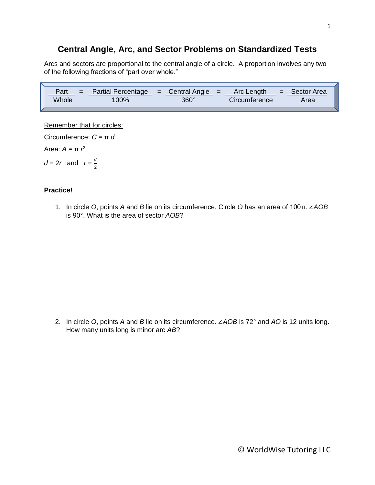## **Central Angle, Arc, and Sector Problems on Standardized Tests**

Arcs and sectors are proportional to the central angle of a circle. A proportion involves any two of the following fractions of "part over whole."

| Part  | <b>Partial Percentage</b> | $\angle$ = Central Angle = $\angle$ | Arc Lenath    | $=$ | Sector Area |
|-------|---------------------------|-------------------------------------|---------------|-----|-------------|
| Whole | $00\%$                    | $360^\circ$                         | Circumference |     | Area        |

Remember that for circles:

2

Circumference: *C* = π *d* Area: *A* = π *r* 2  $d = 2r$  and  $r = \frac{d}{2}$ 

## **Practice!**

1. In circle *O*, points *A* and *B* lie on its circumference. Circle *O* has an area of 100π. ∠*AOB* is 90°. What is the area of sector *AOB*?

2. In circle *O*, points *A* and *B* lie on its circumference. ∠*AOB* is 72° and *AO* is 12 units long. How many units long is minor arc *AB*?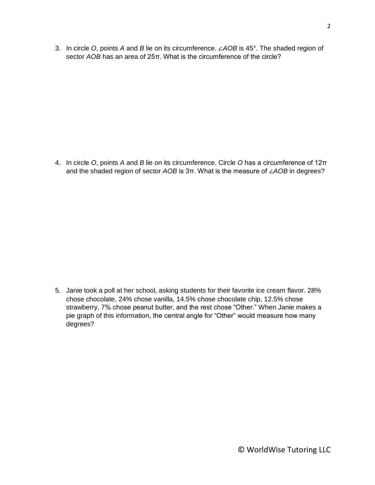3. In circle *O*, points *A* and *B* lie on its circumference. ∠*AOB* is 45°. The shaded region of sector *AOB* has an area of 25π. What is the circumference of the circle?

4. In circle *O*, points *A* and *B* lie on its circumference. Circle *O* has a circumference of 12π and the shaded region of sector *AOB* is 3π. What is the measure of ∠*AOB* in degrees?

5. Janie took a poll at her school, asking students for their favorite ice cream flavor. 28% chose chocolate, 24% chose vanilla, 14.5% chose chocolate chip, 12.5% chose strawberry, 7% chose peanut butter, and the rest chose "Other." When Janie makes a pie graph of this information, the central angle for "Other" would measure how many degrees?